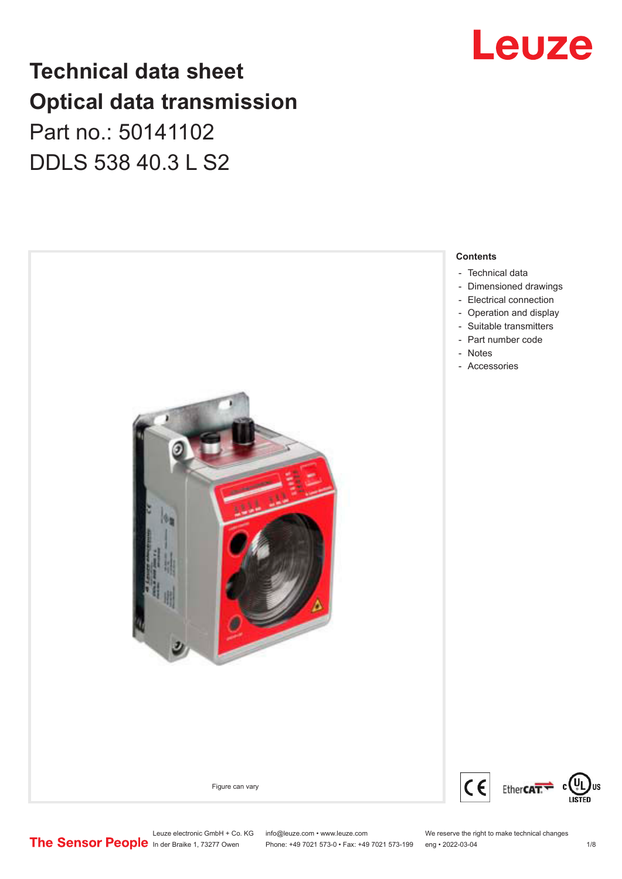## **Technical data sheet Optical data transmission**

Part no.: 50141102 DDLS 538 40.3 L S2





Leuze electronic GmbH + Co. KG info@leuze.com • www.leuze.com We reserve the right to make technical changes<br>
The Sensor People in der Braike 1, 73277 Owen Phone: +49 7021 573-0 • Fax: +49 7021 573-199 eng • 2022-03-04

Phone: +49 7021 573-0 • Fax: +49 7021 573-199 eng • 2022-03-04 1/8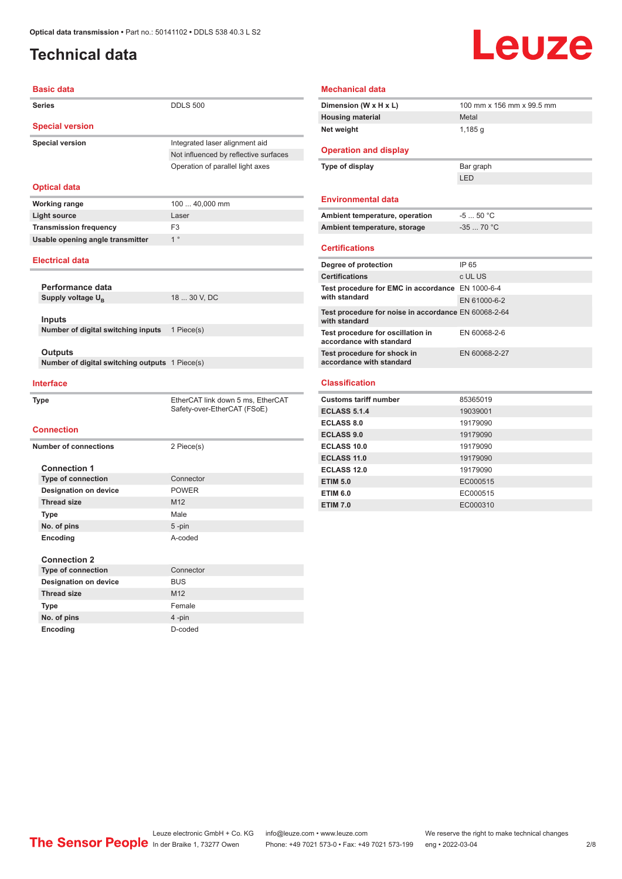### <span id="page-1-0"></span>**Technical data**

## Leuze

| <b>Basic data</b>                              |                                       |
|------------------------------------------------|---------------------------------------|
| <b>Series</b>                                  | <b>DDLS 500</b>                       |
| <b>Special version</b>                         |                                       |
| <b>Special version</b>                         | Integrated laser alignment aid        |
|                                                | Not influenced by reflective surfaces |
|                                                | Operation of parallel light axes      |
|                                                |                                       |
| <b>Optical data</b>                            |                                       |
| <b>Working range</b>                           | 100  40,000 mm                        |
| <b>Light source</b>                            | Laser                                 |
| <b>Transmission frequency</b>                  | F <sub>3</sub>                        |
| Usable opening angle transmitter               | 1 <sup>°</sup>                        |
| <b>Electrical data</b>                         |                                       |
|                                                |                                       |
| Performance data                               |                                       |
| Supply voltage UB                              | 18  30 V, DC                          |
|                                                |                                       |
| Inputs                                         |                                       |
| Number of digital switching inputs             | 1 Piece(s)                            |
|                                                |                                       |
| Outputs                                        |                                       |
| Number of digital switching outputs 1 Piece(s) |                                       |
|                                                |                                       |
| <b>Interface</b>                               |                                       |
| Type                                           | EtherCAT link down 5 ms, EtherCAT     |
|                                                | Safety-over-EtherCAT (FSoE)           |
| <b>Connection</b>                              |                                       |
|                                                |                                       |
| <b>Number of connections</b>                   | 2 Piece(s)                            |
| <b>Connection 1</b>                            |                                       |
| Type of connection                             | Connector                             |
| <b>Designation on device</b>                   | <b>POWER</b>                          |
| <b>Thread size</b>                             | M12                                   |
| <b>Type</b>                                    | Male                                  |
| No. of pins                                    | $5 - pin$                             |
| Encoding                                       | A-coded                               |
|                                                |                                       |
| <b>Connection 2</b>                            |                                       |
| <b>Type of connection</b>                      | Connector                             |
| <b>Designation on device</b>                   | <b>BUS</b>                            |
| <b>Thread size</b>                             | M12                                   |

**Type** Female **No. of pins** 4 -pin **Encoding** D-coded

#### **Mechanical data**

| Dimension (W x H x L)                                                 | 100 mm x 156 mm x 99.5 mm |
|-----------------------------------------------------------------------|---------------------------|
| <b>Housing material</b>                                               | Metal                     |
| Net weight                                                            | 1,185q                    |
|                                                                       |                           |
| <b>Operation and display</b>                                          |                           |
| Type of display                                                       | Bar graph                 |
|                                                                       | <b>LED</b>                |
|                                                                       |                           |
| <b>Environmental data</b>                                             |                           |
| Ambient temperature, operation                                        | $-550 °C$                 |
| Ambient temperature, storage                                          | $-3570 °C$                |
|                                                                       |                           |
| <b>Certifications</b>                                                 |                           |
| Degree of protection                                                  | IP 65                     |
| <b>Certifications</b>                                                 | c UL US                   |
| Test procedure for EMC in accordance EN 1000-6-4                      |                           |
| with standard                                                         | EN 61000-6-2              |
| Test procedure for noise in accordance EN 60068-2-64<br>with standard |                           |
| Test procedure for oscillation in<br>accordance with standard         | EN 60068-2-6              |
| Test procedure for shock in                                           | EN 60068-2-27             |
| accordance with standard                                              |                           |
| <b>Classification</b>                                                 |                           |
|                                                                       |                           |
| <b>Customs tariff number</b>                                          | 85365019                  |
| <b>ECLASS 5.1.4</b>                                                   | 19039001                  |
| <b>ECLASS 8.0</b>                                                     | 19179090                  |
| <b>ECLASS 9.0</b>                                                     | 19179090                  |
| <b>ECLASS 100</b>                                                     | 10170000                  |

| EGLASS 8.0        | 19179090 |
|-------------------|----------|
| <b>ECLASS 9.0</b> | 19179090 |
| ECLASS 10.0       | 19179090 |
| ECLASS 11.0       | 19179090 |
| ECLASS 12.0       | 19179090 |
| <b>ETIM 5.0</b>   | EC000515 |
| <b>ETIM 6.0</b>   | EC000515 |
| <b>ETIM 7.0</b>   | EC000310 |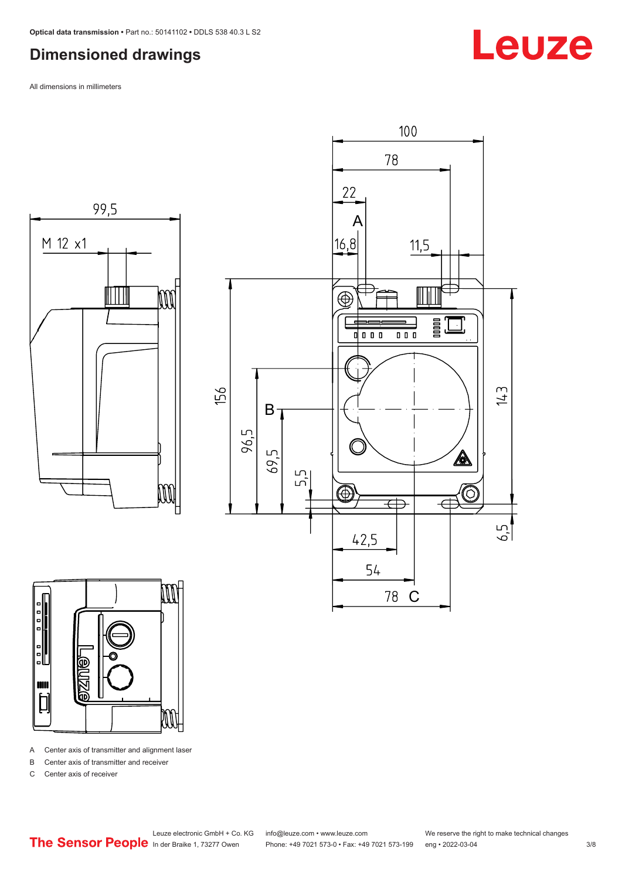#### <span id="page-2-0"></span>**Dimensioned drawings**

All dimensions in millimeters







A Center axis of transmitter and alignment laser

B Center axis of transmitter and receiver

C Center axis of receiver

## Leuze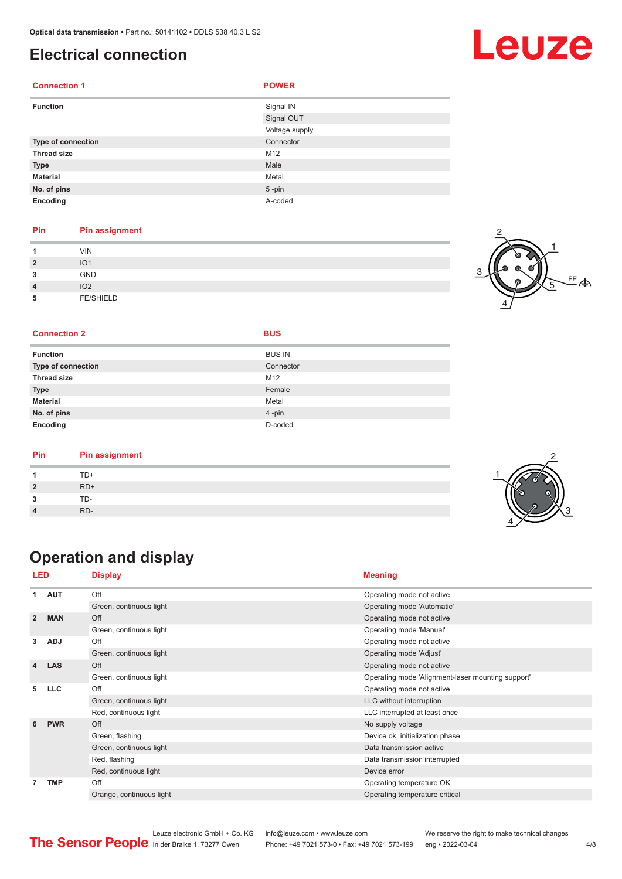#### <span id="page-3-0"></span>**Electrical connection**

| <b>Connection 1</b> | <b>POWER</b>   |
|---------------------|----------------|
| <b>Function</b>     | Signal IN      |
|                     | Signal OUT     |
|                     | Voltage supply |
| Type of connection  | Connector      |
| <b>Thread size</b>  | M12            |
| <b>Type</b>         | Male           |
| <b>Material</b>     | Metal          |
| No. of pins         | $5 - pin$      |
| Encoding            | A-coded        |

#### **Pin Pin assignment**

| и                       | <b>VIN</b>       |  |
|-------------------------|------------------|--|
| $\overline{\mathbf{2}}$ | IO <sub>1</sub>  |  |
| 3                       | GND              |  |
| $\overline{4}$          | IO <sub>2</sub>  |  |
| 5                       | <b>FE/SHIELD</b> |  |

#### $FE$  $\Leftrightarrow$ 1 2 4 5

#### **Connection 2 BUS**

| <b>Function</b>           | <b>BUS IN</b> |
|---------------------------|---------------|
| <b>Type of connection</b> | Connector     |
| <b>Thread size</b>        | M12           |
| <b>Type</b>               | Female        |
| <b>Material</b>           | Metal         |
| No. of pins               | 4-pin         |
| Encoding                  | D-coded       |

| Pin | <b>Pin assignment</b> |  |
|-----|-----------------------|--|
|     | TD+                   |  |
|     | $RD+$                 |  |
| ∍   | TD-                   |  |
|     | RD-                   |  |

### **Operation and display**

| <b>LED</b>     |            | <b>Display</b>           | <b>Meaning</b>                                    |
|----------------|------------|--------------------------|---------------------------------------------------|
| 1              | <b>AUT</b> | Off                      | Operating mode not active                         |
|                |            | Green, continuous light  | Operating mode 'Automatic'                        |
| $\overline{2}$ | <b>MAN</b> | Off                      | Operating mode not active                         |
|                |            | Green, continuous light  | Operating mode 'Manual'                           |
| 3              | <b>ADJ</b> | Off                      | Operating mode not active                         |
|                |            | Green, continuous light  | Operating mode 'Adjust'                           |
| 4              | <b>LAS</b> | Off                      | Operating mode not active                         |
|                |            | Green, continuous light  | Operating mode 'Alignment-laser mounting support' |
| 5              | <b>LLC</b> | Off                      | Operating mode not active                         |
|                |            | Green, continuous light  | LLC without interruption                          |
|                |            | Red, continuous light    | LLC interrupted at least once                     |
| 6              | <b>PWR</b> | Off                      | No supply voltage                                 |
|                |            | Green, flashing          | Device ok, initialization phase                   |
|                |            | Green, continuous light  | Data transmission active                          |
|                |            | Red, flashing            | Data transmission interrupted                     |
|                |            | Red, continuous light    | Device error                                      |
| 7              | <b>TMP</b> | Off                      | Operating temperature OK                          |
|                |            | Orange, continuous light | Operating temperature critical                    |



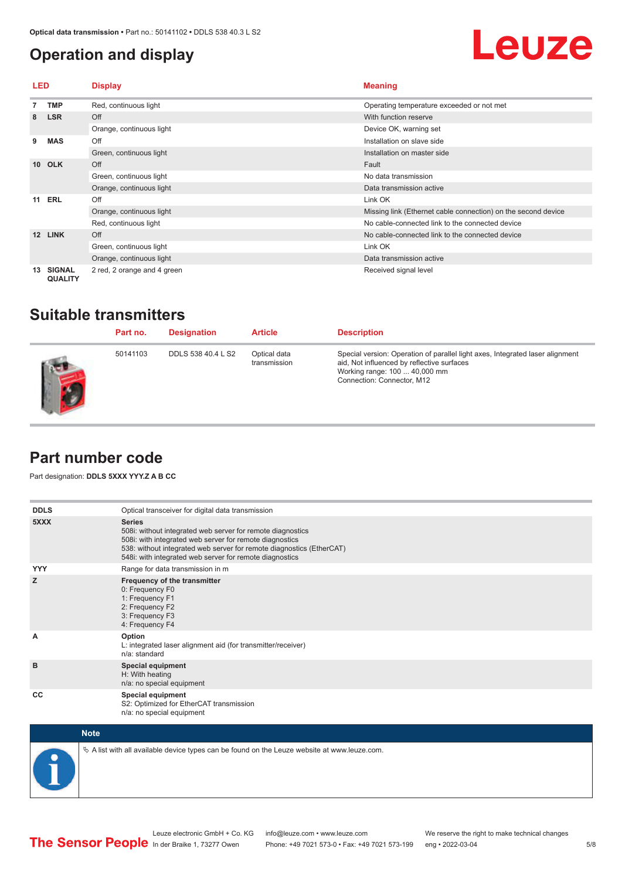#### <span id="page-4-0"></span>**Operation and display**



| LED     |                                 | <b>Display</b>              | <b>Meaning</b>                                                |
|---------|---------------------------------|-----------------------------|---------------------------------------------------------------|
|         | <b>TMP</b>                      | Red, continuous light       | Operating temperature exceeded or not met                     |
| 8       | <b>LSR</b>                      | Off                         | With function reserve                                         |
|         |                                 | Orange, continuous light    | Device OK, warning set                                        |
| 9       | <b>MAS</b>                      | Off                         | Installation on slave side                                    |
|         |                                 | Green, continuous light     | Installation on master side                                   |
| $10-10$ | <b>OLK</b>                      | Off                         | Fault                                                         |
|         |                                 | Green, continuous light     | No data transmission                                          |
|         |                                 | Orange, continuous light    | Data transmission active                                      |
| 11      | <b>ERL</b>                      | Off                         | Link OK                                                       |
|         |                                 | Orange, continuous light    | Missing link (Ethernet cable connection) on the second device |
|         |                                 | Red, continuous light       | No cable-connected link to the connected device               |
| 12      | <b>LINK</b>                     | Off                         | No cable-connected link to the connected device               |
|         |                                 | Green, continuous light     | Link OK                                                       |
|         |                                 | Orange, continuous light    | Data transmission active                                      |
| 13      | <b>SIGNAL</b><br><b>QUALITY</b> | 2 red, 2 orange and 4 green | Received signal level                                         |

#### **Suitable transmitters**

| Part no. | <b>Designation</b> | <b>Article</b>               | <b>Description</b>                                                                                                                                                                         |
|----------|--------------------|------------------------------|--------------------------------------------------------------------------------------------------------------------------------------------------------------------------------------------|
| 50141103 | DDLS 538 40.4 L S2 | Optical data<br>transmission | Special version: Operation of parallel light axes, Integrated laser alignment<br>aid, Not influenced by reflective surfaces<br>Working range: 100  40,000 mm<br>Connection: Connector, M12 |

#### **Part number code**

Part designation: **DDLS 5XXX YYY.Z A B CC**

| <b>DDLS</b> | Optical transceiver for digital data transmission                                                                                                                                                                                                                         |
|-------------|---------------------------------------------------------------------------------------------------------------------------------------------------------------------------------------------------------------------------------------------------------------------------|
| 5XXX        | <b>Series</b><br>508i: without integrated web server for remote diagnostics<br>508i: with integrated web server for remote diagnostics<br>538: without integrated web server for remote diagnostics (EtherCAT)<br>548i: with integrated web server for remote diagnostics |
| <b>YYY</b>  | Range for data transmission in m                                                                                                                                                                                                                                          |
| z           | Frequency of the transmitter<br>0: Frequency F0<br>1: Frequency F1<br>2: Frequency F2<br>3: Frequency F3<br>4: Frequency F4                                                                                                                                               |
| A           | Option<br>L: integrated laser alignment aid (for transmitter/receiver)<br>n/a: standard                                                                                                                                                                                   |
| B           | <b>Special equipment</b><br>H: With heating<br>n/a: no special equipment                                                                                                                                                                                                  |
| <b>CC</b>   | Special equipment<br>S2: Optimized for EtherCAT transmission<br>n/a: no special equipment                                                                                                                                                                                 |



 $\&$  A list with all available device types can be found on the Leuze website at www.leuze.com.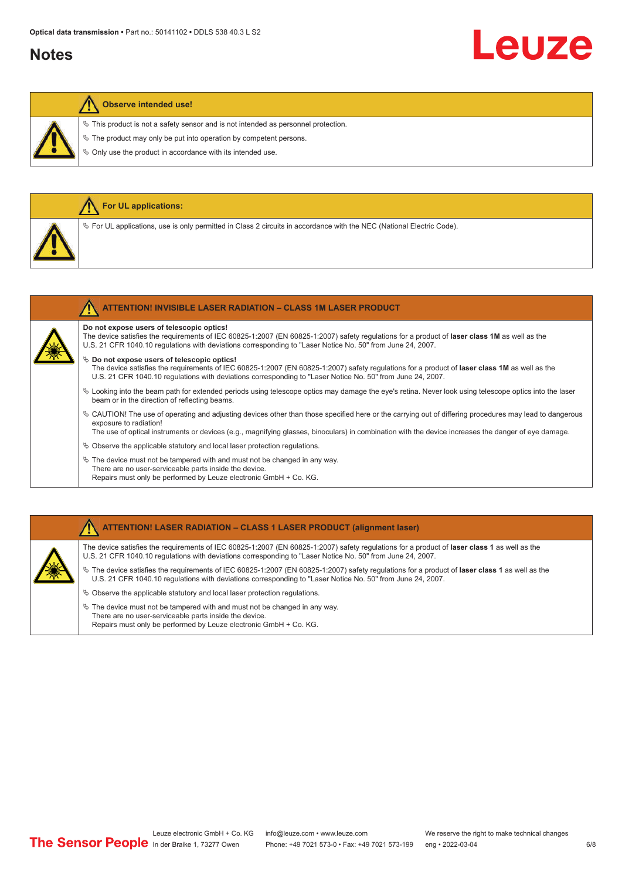#### **Notes**

# Leuze

#### **Observe intended use!**

**For UL applications:**

 $\ddot{\phi}$  This product is not a safety sensor and is not intended as personnel protection.

 $\&$  The product may only be put into operation by competent persons.

 $\%$  Only use the product in accordance with its intended use.

| $\%$ For UL applications, use is only permitted in Class 2 circuits in accordance with the NEC (National Electric Code).                                                                                                                                                                                                                    |
|---------------------------------------------------------------------------------------------------------------------------------------------------------------------------------------------------------------------------------------------------------------------------------------------------------------------------------------------|
|                                                                                                                                                                                                                                                                                                                                             |
| <b>ATTENTION! INVISIBLE LASER RADIATION - CLASS 1M LASER PRODUCT</b>                                                                                                                                                                                                                                                                        |
| Do not expose users of telescopic optics!<br>The device satisfies the requirements of IEC 60825-1:2007 (EN 60825-1:2007) safety regulations for a product of laser class 1M as well as the<br>U.S. 21 CFR 1040.10 regulations with deviations corresponding to "Laser Notice No. 50" from June 24, 2007.                                    |
| $\&$ Do not expose users of telescopic optics!<br>The device satisfies the requirements of IEC 60825-1:2007 (EN 60825-1:2007) safety regulations for a product of laser class 1M as well as the<br>U.S. 21 CFR 1040.10 regulations with deviations corresponding to "Laser Notice No. 50" from June 24, 2007.                               |
| $\&$ Looking into the beam path for extended periods using telescope optics may damage the eye's retina. Never look using telescope optics into the laser<br>beam or in the direction of reflecting beams.                                                                                                                                  |
| $\&$ CAUTION! The use of operating and adjusting devices other than those specified here or the carrying out of differing procedures may lead to dangerous<br>exposure to radiation!<br>The use of optical instruments or devices (e.g., magnifying glasses, binoculars) in combination with the device increases the danger of eye damage. |
| $\&$ Observe the applicable statutory and local laser protection regulations.                                                                                                                                                                                                                                                               |

 $\%$  The device must not be tampered with and must not be changed in any way. There are no user-serviceable parts inside the device. Repairs must only be performed by Leuze electronic GmbH + Co. KG.

#### **ATTENTION! LASER RADIATION – CLASS 1 LASER PRODUCT (alignment laser)**

The device satisfies the requirements of IEC 60825-1:2007 (EN 60825-1:2007) safety regulations for a product of **laser class 1** as well as the U.S. 21 CFR 1040.10 regulations with deviations corresponding to "Laser Notice No. 50" from June 24, 2007.

ª The device satisfies the requirements of IEC 60825-1:2007 (EN 60825-1:2007) safety regulations for a product of **laser class 1** as well as the U.S. 21 CFR 1040.10 regulations with deviations corresponding to "Laser Notice No. 50" from June 24, 2007.

- $\%$  Observe the applicable statutory and local laser protection regulations.
- $\&$  The device must not be tampered with and must not be changed in any way. There are no user-serviceable parts inside the device. Repairs must only be performed by Leuze electronic GmbH + Co. KG.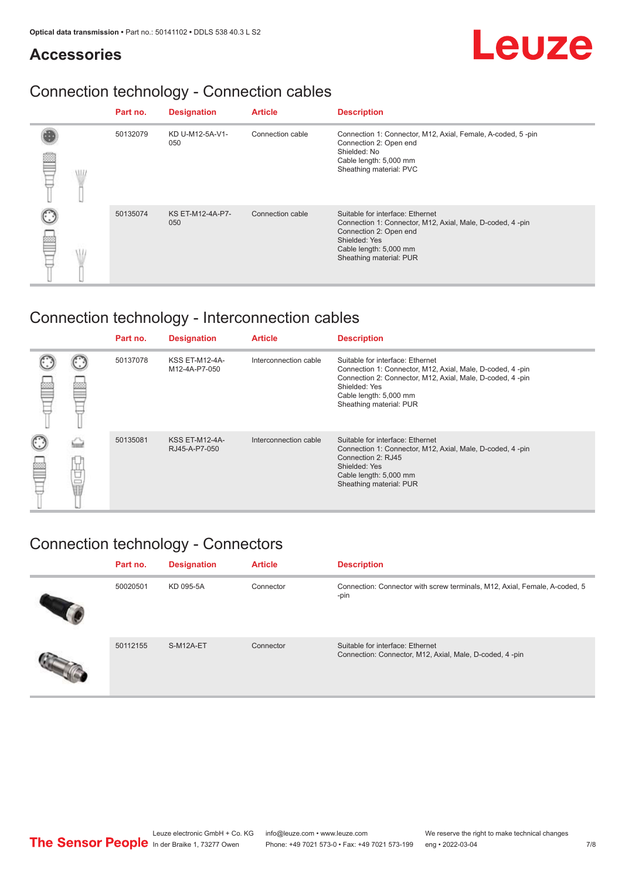#### **Accessories**

## Leuze

### Connection technology - Connection cables

|            | Part no. | <b>Designation</b>      | <b>Article</b>   | <b>Description</b>                                                                                                                                                                            |
|------------|----------|-------------------------|------------------|-----------------------------------------------------------------------------------------------------------------------------------------------------------------------------------------------|
| <b>ALL</b> | 50132079 | KD U-M12-5A-V1-<br>050  | Connection cable | Connection 1: Connector, M12, Axial, Female, A-coded, 5-pin<br>Connection 2: Open end<br>Shielded: No<br>Cable length: 5,000 mm<br>Sheathing material: PVC                                    |
|            | 50135074 | KS ET-M12-4A-P7-<br>050 | Connection cable | Suitable for interface: Ethernet<br>Connection 1: Connector, M12, Axial, Male, D-coded, 4-pin<br>Connection 2: Open end<br>Shielded: Yes<br>Cable length: 5,000 mm<br>Sheathing material: PUR |

### Connection technology - Interconnection cables

|        |   | Part no. | <b>Designation</b>                     | <b>Article</b>        | <b>Description</b>                                                                                                                                                                                                               |
|--------|---|----------|----------------------------------------|-----------------------|----------------------------------------------------------------------------------------------------------------------------------------------------------------------------------------------------------------------------------|
|        |   | 50137078 | <b>KSS ET-M12-4A-</b><br>M12-4A-P7-050 | Interconnection cable | Suitable for interface: Ethernet<br>Connection 1: Connector, M12, Axial, Male, D-coded, 4-pin<br>Connection 2: Connector, M12, Axial, Male, D-coded, 4-pin<br>Shielded: Yes<br>Cable length: 5,000 mm<br>Sheathing material: PUR |
| C<br>丝 | Ö | 50135081 | <b>KSS ET-M12-4A-</b><br>RJ45-A-P7-050 | Interconnection cable | Suitable for interface: Ethernet<br>Connection 1: Connector, M12, Axial, Male, D-coded, 4-pin<br>Connection 2: RJ45<br>Shielded: Yes<br>Cable length: 5,000 mm<br>Sheathing material: PUR                                        |

### Connection technology - Connectors

| Part no. | <b>Designation</b> | <b>Article</b> | <b>Description</b>                                                                          |
|----------|--------------------|----------------|---------------------------------------------------------------------------------------------|
| 50020501 | KD 095-5A          | Connector      | Connection: Connector with screw terminals, M12, Axial, Female, A-coded, 5<br>-pin          |
| 50112155 | S-M12A-ET          | Connector      | Suitable for interface: Ethernet<br>Connection: Connector, M12, Axial, Male, D-coded, 4-pin |